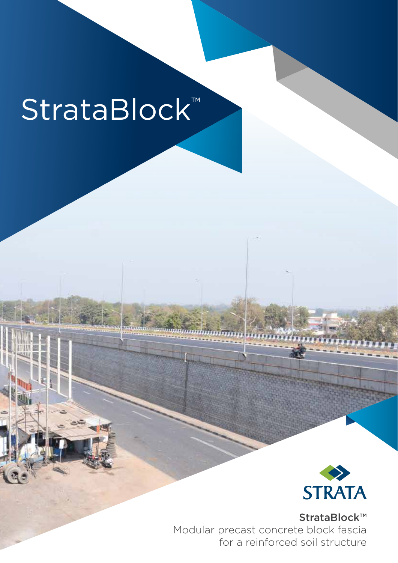## StrataBlock™



StrataBlock™ Modular precast concrete block fascia for a reinforced soil structure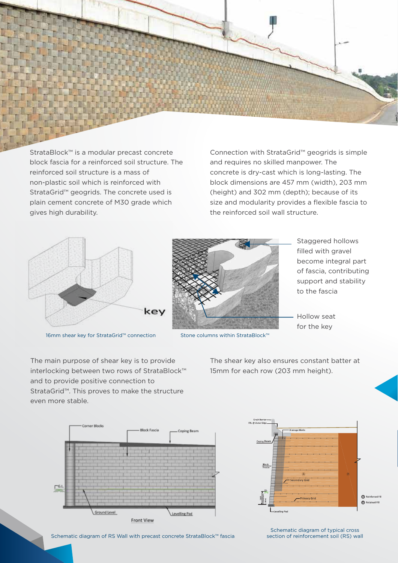

StrataBlock™ is a modular precast concrete block fascia for a reinforced soil structure. The reinforced soil structure is a mass of non-plastic soil which is reinforced with StrataGrid™ geogrids. The concrete used is plain cement concrete of M30 grade which gives high durability.

Connection with StrataGrid™ geogrids is simple and requires no skilled manpower. The concrete is dry-cast which is long-lasting. The block dimensions are 457 mm (width), 203 mm (height) and 302 mm (depth); because of its size and modularity provides a flexible fascia to the reinforced soil wall structure.



16mm shear key for StrataGrid™ connection



Stone columns within StrataBlock™

- Staggered hollows filled with gravel become integral part of fascia, contributing support and stability to the fascia
- Hollow seat for the key

The shear key also ensures constant batter at 15mm for each row (203 mm height).





Schematic diagram of typical cross section of reinforcement soil (RS) wall

The main purpose of shear key is to provide interlocking between two rows of StrataBlock™ and to provide positive connection to StrataGrid™. This proves to make the structure even more stable.

Schematic diagram of RS Wall with precast concrete StrataBlock™ fascia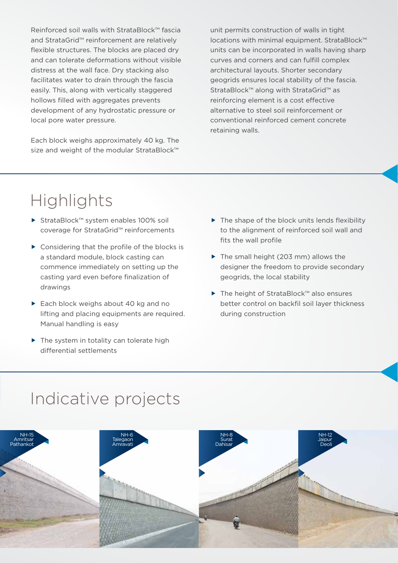Reinforced soil walls with StrataBlock™ fascia and StrataGrid™ reinforcement are relatively flexible structures. The blocks are placed dry and can tolerate deformations without visible distress at the wall face. Dry stacking also facilitates water to drain through the fascia easily. This, along with vertically staggered hollows filled with aggregates prevents development of any hydrostatic pressure or local pore water pressure.

Each block weighs approximately 40 kg. The size and weight of the modular StrataBlock™

unit permits construction of walls in tight locations with minimal equipment. StrataBlock™ units can be incorporated in walls having sharp curves and corners and can fulfill complex architectural layouts. Shorter secondary geogrids ensures local stability of the fascia. StrataBlock™ along with StrataGrid™ as reinforcing element is a cost effective alternative to steel soil reinforcement or conventional reinforced cement concrete retaining walls.

## **Highlights**

- StrataBlock™ system enables 100% soil coverage for StrataGrid™ reinforcements
- ▶ Considering that the profile of the blocks is a standard module, block casting can commence immediately on setting up the casting yard even before finalization of drawings
- Each block weighs about 40 kg and no lifting and placing equipments are required. Manual handling is easy
- $\blacktriangleright$  The system in totality can tolerate high differential settlements
- $\blacktriangleright$  The shape of the block units lends flexibility to the alignment of reinforced soil wall and fits the wall profile
- ▶ The small height (203 mm) allows the designer the freedom to provide secondary geogrids, the local stability
- The height of StrataBlock™ also ensures better control on backfil soil layer thickness during construction

## Indicative projects